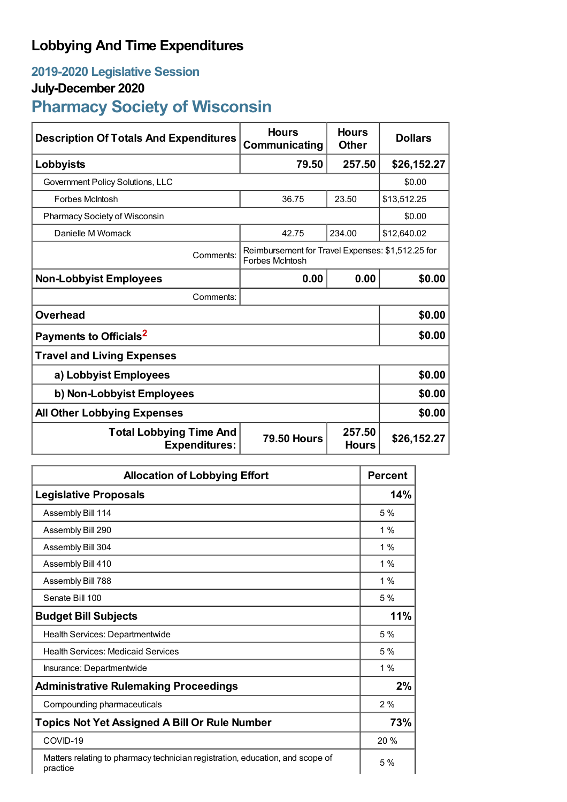## **Lobbying And Time Expenditures**

## **2019-2020 Legislative Session**

### **July-December 2020**

# **Pharmacy Society of Wisconsin**

| <b>Description Of Totals And Expenditures</b>          | <b>Hours</b><br>Communicating                                               | <b>Hours</b><br><b>Other</b> | <b>Dollars</b> |
|--------------------------------------------------------|-----------------------------------------------------------------------------|------------------------------|----------------|
| <b>Lobbyists</b>                                       | 79.50                                                                       | 257.50                       | \$26,152.27    |
| Government Policy Solutions, LLC                       |                                                                             |                              | \$0.00         |
| Forbes McIntosh                                        | 36.75                                                                       | 23.50                        | \$13,512.25    |
| Pharmacy Society of Wisconsin                          |                                                                             | \$0.00                       |                |
| Danielle M Womack                                      | 42.75                                                                       | 234.00                       | \$12,640.02    |
| Comments:                                              | Reimbursement for Travel Expenses: \$1,512.25 for<br><b>Forbes McIntosh</b> |                              |                |
| <b>Non-Lobbyist Employees</b>                          | 0.00                                                                        | 0.00                         | \$0.00         |
| Comments:                                              |                                                                             |                              |                |
| <b>Overhead</b>                                        |                                                                             |                              | \$0.00         |
| Payments to Officials <sup>2</sup>                     |                                                                             |                              | \$0.00         |
| <b>Travel and Living Expenses</b>                      |                                                                             |                              |                |
| a) Lobbyist Employees                                  |                                                                             |                              | \$0.00         |
| b) Non-Lobbyist Employees                              |                                                                             |                              | \$0.00         |
| <b>All Other Lobbying Expenses</b>                     |                                                                             |                              | \$0.00         |
| <b>Total Lobbying Time And</b><br><b>Expenditures:</b> | <b>79.50 Hours</b>                                                          | 257.50<br><b>Hours</b>       | \$26,152.27    |

| <b>Allocation of Lobbying Effort</b>                                                      |       |
|-------------------------------------------------------------------------------------------|-------|
| <b>Legislative Proposals</b>                                                              | 14%   |
| Assembly Bill 114                                                                         | 5%    |
| Assembly Bill 290                                                                         | $1\%$ |
| Assembly Bill 304                                                                         | $1\%$ |
| Assembly Bill 410                                                                         | 1%    |
| Assembly Bill 788                                                                         | $1\%$ |
| Senate Bill 100                                                                           | 5%    |
| <b>Budget Bill Subjects</b>                                                               | 11%   |
| Health Services: Departmentwide                                                           | 5%    |
| <b>Health Services: Medicaid Services</b>                                                 | 5%    |
| Insurance: Departmentwide                                                                 | $1\%$ |
| <b>Administrative Rulemaking Proceedings</b>                                              | 2%    |
| Compounding pharmaceuticals                                                               | 2%    |
| <b>Topics Not Yet Assigned A Bill Or Rule Number</b>                                      |       |
| COVID-19                                                                                  | 20 %  |
| Matters relating to pharmacy technician registration, education, and scope of<br>practice | 5%    |